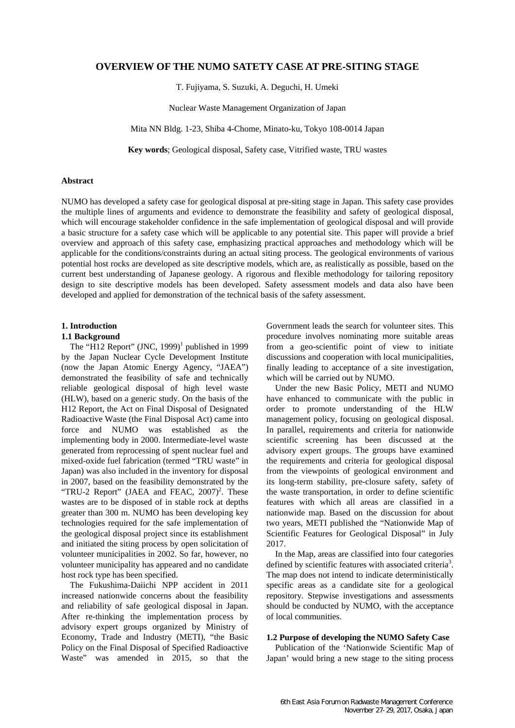## **OVERVIEW OF THE NUMO SATETY CASE AT PRE-SITING STAGE**

T. Fujiyama, S. Suzuki, A. Deguchi, H. Umeki

Nuclear Waste Management Organization of Japan

Mita NN Bldg. 1-23, Shiba 4-Chome, Minato-ku, Tokyo 108-0014 Japan

**Key words**; Geological disposal, Safety case, Vitrified waste, TRU wastes

## **Abstract**

NUMO has developed a safety case for geological disposal at pre-siting stage in Japan. This safety case provides the multiple lines of arguments and evidence to demonstrate the feasibility and safety of geological disposal, which will encourage stakeholder confidence in the safe implementation of geological disposal and will provide a basic structure for a safety case which will be applicable to any potential site. This paper will provide a brief overview and approach of this safety case, emphasizing practical approaches and methodology which will be applicable for the conditions/constraints during an actual siting process. The geological environments of various potential host rocks are developed as site descriptive models, which are, as realistically as possible, based on the current best understanding of Japanese geology. A rigorous and flexible methodology for tailoring repository design to site descriptive models has been developed. Safety assessment models and data also have been developed and applied for demonstration of the technical basis of the safety assessment.

### **1. Introduction**

#### **1.1 Background**

The "H12 Report"  $(JNC, 1999)^1$  published in 1999 by the Japan Nuclear Cycle Development Institute (now the Japan Atomic Energy Agency, "JAEA") demonstrated the feasibility of safe and technically reliable geological disposal of high level waste (HLW), based on a generic study. On the basis of the H12 Report, the Act on Final Disposal of Designated Radioactive Waste (the Final Disposal Act) came into force and NUMO was established as the implementing body in 2000. Intermediate-level waste generated from reprocessing of spent nuclear fuel and mixed-oxide fuel fabrication (termed "TRU waste" in Japan) was also included in the inventory for disposal in 2007, based on the feasibility demonstrated by the "TRU-2 Report" (JAEA and FEAC,  $2007$ )<sup>2</sup>. These wastes are to be disposed of in stable rock at depths greater than 300 m. NUMO has been developing key technologies required for the safe implementation of the geological disposal project since its establishment and initiated the siting process by open solicitation of volunteer municipalities in 2002. So far, however, no volunteer municipality has appeared and no candidate host rock type has been specified.

The Fukushima-Daiichi NPP accident in 2011 increased nationwide concerns about the feasibility and reliability of safe geological disposal in Japan. After re-thinking the implementation process by advisory expert groups organized by Ministry of Economy, Trade and Industry (METI), "the Basic Policy on the Final Disposal of Specified Radioactive Waste" was amended in 2015, so that the Government leads the search for volunteer sites. This procedure involves nominating more suitable areas from a geo-scientific point of view to initiate discussions and cooperation with local municipalities, finally leading to acceptance of a site investigation, which will be carried out by NUMO.

Under the new Basic Policy, METI and NUMO have enhanced to communicate with the public in order to promote understanding of the HLW management policy, focusing on geological disposal. In parallel, requirements and criteria for nationwide scientific screening has been discussed at the advisory expert groups. The groups have examined the requirements and criteria for geological disposal from the viewpoints of geological environment and its long-term stability, pre-closure safety, safety of the waste transportation, in order to define scientific features with which all areas are classified in a nationwide map. Based on the discussion for about two years, METI published the "Nationwide Map of Scientific Features for Geological Disposal" in July 2017.

In the Map, areas are classified into four categories defined by scientific features with associated criteria<sup>3</sup>. The map does not intend to indicate deterministically specific areas as a candidate site for a geological repository. Stepwise investigations and assessments should be conducted by NUMO, with the acceptance of local communities.

## **1.2 Purpose of developing the NUMO Safety Case**

Publication of the 'Nationwide Scientific Map of Japan' would bring a new stage to the siting process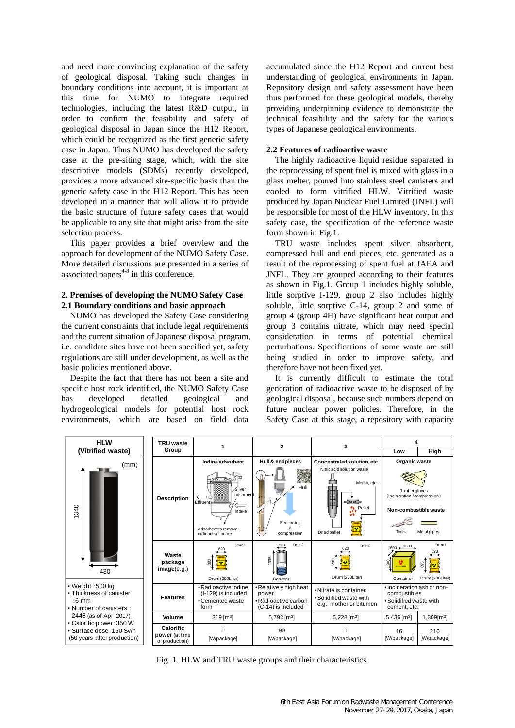and need more convincing explanation of the safety of geological disposal. Taking such changes in boundary conditions into account, it is important at this time for NUMO to integrate required technologies, including the latest R&D output, in order to confirm the feasibility and safety of geological disposal in Japan since the H12 Report, which could be recognized as the first generic safety case in Japan. Thus NUMO has developed the safety case at the pre-siting stage, which, with the site descriptive models (SDMs) recently developed, provides a more advanced site-specific basis than the generic safety case in the H12 Report. This has been developed in a manner that will allow it to provide the basic structure of future safety cases that would be applicable to any site that might arise from the site selection process.

This paper provides a brief overview and the approach for development of the NUMO Safety Case. More detailed discussions are presented in a series of associated papers $4-8$  in this conference.

### **2. Premises of developing the NUMO Safety Case 2.1 Boundary conditions and basic approach**

NUMO has developed the Safety Case considering the current constraints that include legal requirements and the current situation of Japanese disposal program, i.e. candidate sites have not been specified yet, safety regulations are still under development, as well as the basic policies mentioned above.

Despite the fact that there has not been a site and specific host rock identified, the NUMO Safety Case has developed detailed geological and hydrogeological models for potential host rock environments, which are based on field data accumulated since the H12 Report and current best understanding of geological environments in Japan. Repository design and safety assessment have been thus performed for these geological models, thereby providing underpinning evidence to demonstrate the technical feasibility and the safety for the various types of Japanese geological environments.

## **2.2 Features of radioactive waste**

The highly radioactive liquid residue separated in the reprocessing of spent fuel is mixed with glass in a glass melter, poured into stainless steel canisters and cooled to form vitrified HLW. Vitrified waste produced by Japan Nuclear Fuel Limited (JNFL) will be responsible for most of the HLW inventory. In this safety case, the specification of the reference waste form shown in Fig.1.

TRU waste includes spent silver absorbent, compressed hull and end pieces, etc. generated as a result of the reprocessing of spent fuel at JAEA and JNFL. They are grouped according to their features as shown in Fig.1. Group 1 includes highly soluble, little sorptive I-129, group 2 also includes highly soluble, little sorptive C-14, group 2 and some of group 4 (group 4H) have significant heat output and group 3 contains nitrate, which may need special consideration in terms of potential chemical perturbations. Specifications of some waste are still being studied in order to improve safety, and therefore have not been fixed yet.

It is currently difficult to estimate the total generation of radioactive waste to be disposed of by geological disposal, because such numbers depend on future nuclear power policies. Therefore, in the Safety Case at this stage, a repository with capacity

| <b>HLW</b>                                                                                                                                                                                                        | <b>TRU</b> waste<br>Group                     | 1                                                                                      | $\mathbf{2}$                                                                  | 3                                                                                                                                                          | 4                                                                                     |                                       |
|-------------------------------------------------------------------------------------------------------------------------------------------------------------------------------------------------------------------|-----------------------------------------------|----------------------------------------------------------------------------------------|-------------------------------------------------------------------------------|------------------------------------------------------------------------------------------------------------------------------------------------------------|---------------------------------------------------------------------------------------|---------------------------------------|
| (Vitrified waste)                                                                                                                                                                                                 |                                               |                                                                                        |                                                                               |                                                                                                                                                            | Low                                                                                   | High                                  |
| (mm)<br>1340<br>430                                                                                                                                                                                               | <b>Description</b>                            | lodine adsorbent                                                                       | Hull & endpieces                                                              | Concentrated solution, etc.                                                                                                                                | Organic waste                                                                         |                                       |
|                                                                                                                                                                                                                   |                                               | Silver<br>adsorbent<br>Effluent<br>Intake<br>Adsorbent to remove<br>radioactive iodine | $\mathcal{N}$<br>Hull<br>Sectioning<br>compression                            | Nitric acid solution waste<br>Mortar, etc.<br>e de la co<br>$\sigma_{\rm X}$<br>Pellet<br>ıı<br>ä٩<br>$\left\lceil \mathbf{x}\right\rceil$<br>Dried pellet | Rubber gloves<br>(incineration / compression)<br>Non-combustible waste                |                                       |
|                                                                                                                                                                                                                   |                                               |                                                                                        |                                                                               |                                                                                                                                                            | Tools                                                                                 | Metal pipes                           |
|                                                                                                                                                                                                                   | Waste<br>package<br>image(e.g.)               | (mm)<br>620<br>88<br>Drum (200Liter)                                                   | (mm)<br>430<br>1335<br>Canister                                               | (mm)<br>620<br>890<br>Drum (200Liter)                                                                                                                      | $1600 + \frac{1600}{1600}$<br>1200<br>Container                                       | (mm)<br>620<br>390<br>Drum (200Liter) |
| $\bullet$ Weight : 500 kg<br>• Thickness of canister<br>$:6 \text{ mm}$<br>• Number of canisters:<br>2448 (as of Apr 2017)<br>• Calorific power: 350 W<br>• Surface dose: 160 Sv/h<br>(50 years after production) | <b>Features</b>                               | • Radioactive iodine<br>(I-129) is included<br>• Cemented waste<br>form                | • Relatively high heat<br>power<br>• Radioactive carbon<br>(C-14) is included | • Nitrate is contained<br>. Solidified waste with<br>e.g., mother or bitumen                                                                               | • Incineration ash or non-<br>combustibles<br>. Solidified waste with<br>cement, etc. |                                       |
|                                                                                                                                                                                                                   | Volume                                        | $319$ [m <sup>3</sup> ]                                                                | 5,792 $[m3]$                                                                  | 5,228 [ $m3$ ]                                                                                                                                             | 5,436 [m <sup>3</sup> ]                                                               | $1,309$ [m <sup>3</sup> ]             |
|                                                                                                                                                                                                                   | Calorific<br>power (at time<br>of production) | [W/package]                                                                            | 90<br>[W/package]                                                             | [W/package]                                                                                                                                                | 16<br>[W/package]                                                                     | 210<br>[W/package]                    |

Fig. 1. HLW and TRU waste groups and their characteristics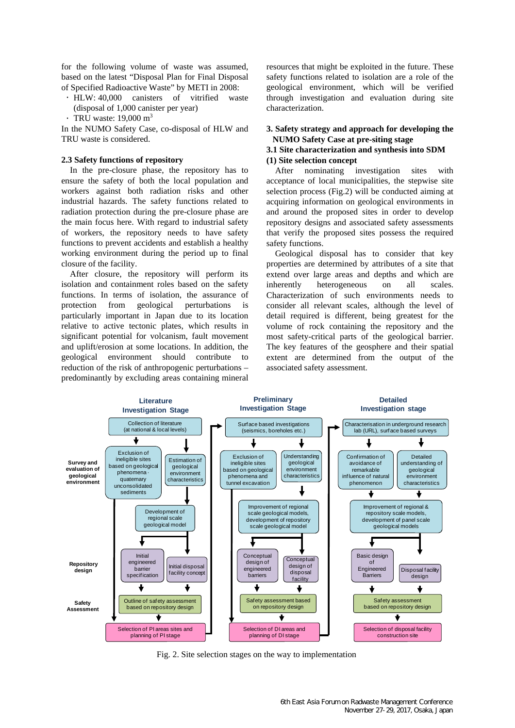for the following volume of waste was assumed, based on the latest "Disposal Plan for Final Disposal of Specified Radioactive Waste" by METI in 2008:

- HLW: 40,000 canisters of vitrified waste (disposal of 1,000 canister per year)
- $\cdot$  TRU waste: 19,000 m<sup>3</sup>

In the NUMO Safety Case, co-disposal of HLW and TRU waste is considered.

#### **2.3 Safety functions of repository**

In the pre-closure phase, the repository has to ensure the safety of both the local population and workers against both radiation risks and other industrial hazards. The safety functions related to radiation protection during the pre-closure phase are the main focus here. With regard to industrial safety of workers, the repository needs to have safety functions to prevent accidents and establish a healthy working environment during the period up to final closure of the facility.

After closure, the repository will perform its isolation and containment roles based on the safety functions. In terms of isolation, the assurance of protection from geological perturbations is particularly important in Japan due to its location relative to active tectonic plates, which results in significant potential for volcanism, fault movement and uplift/erosion at some locations. In addition, the geological environment should contribute to reduction of the risk of anthropogenic perturbations – predominantly by excluding areas containing mineral resources that might be exploited in the future. These safety functions related to isolation are a role of the geological environment, which will be verified through investigation and evaluation during site characterization.

## **3. Safety strategy and approach for developing the NUMO Safety Case at pre-siting stage**

#### **3.1 Site characterization and synthesis into SDM (1) Site selection concept**

After nominating investigation sites with acceptance of local municipalities, the stepwise site selection process (Fig.2) will be conducted aiming at acquiring information on geological environments in and around the proposed sites in order to develop repository designs and associated safety assessments that verify the proposed sites possess the required safety functions.

Geological disposal has to consider that key properties are determined by attributes of a site that extend over large areas and depths and which are inherently heterogeneous on all scales. Characterization of such environments needs to consider all relevant scales, although the level of detail required is different, being greatest for the volume of rock containing the repository and the most safety-critical parts of the geological barrier. The key features of the geosphere and their spatial extent are determined from the output of the associated safety assessment.



Fig. 2. Site selection stages on the way to implementation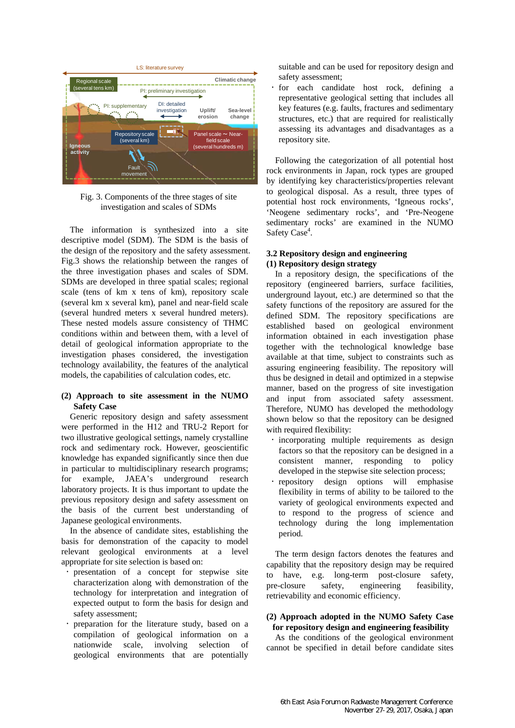

Fig. 3. Components of the three stages of site investigation and scales of SDMs

The information is synthesized into a site descriptive model (SDM). The SDM is the basis of the design of the repository and the safety assessment. Fig.3 shows the relationship between the ranges of the three investigation phases and scales of SDM. SDMs are developed in three spatial scales; regional scale (tens of km x tens of km), repository scale (several km x several km), panel and near-field scale (several hundred meters x several hundred meters). These nested models assure consistency of THMC conditions within and between them, with a level of detail of geological information appropriate to the investigation phases considered, the investigation technology availability, the features of the analytical models, the capabilities of calculation codes, etc.

## **(2) Approach to site assessment in the NUMO Safety Case**

Generic repository design and safety assessment were performed in the H12 and TRU-2 Report for two illustrative geological settings, namely crystalline rock and sedimentary rock. However, geoscientific knowledge has expanded significantly since then due in particular to multidisciplinary research programs; for example, JAEA's underground research laboratory projects. It is thus important to update the previous repository design and safety assessment on the basis of the current best understanding of Japanese geological environments.

In the absence of candidate sites, establishing the basis for demonstration of the capacity to model relevant geological environments at a level appropriate for site selection is based on:

- presentation of a concept for stepwise site characterization along with demonstration of the technology for interpretation and integration of expected output to form the basis for design and safety assessment;
- preparation for the literature study, based on a compilation of geological information on a nationwide scale, involving selection of geological environments that are potentially

suitable and can be used for repository design and safety assessment;

 for each candidate host rock, defining a representative geological setting that includes all key features (e.g. faults, fractures and sedimentary structures, etc.) that are required for realistically assessing its advantages and disadvantages as a repository site.

Following the categorization of all potential host rock environments in Japan, rock types are grouped by identifying key characteristics/properties relevant to geological disposal. As a result, three types of potential host rock environments, 'Igneous rocks', 'Neogene sedimentary rocks', and 'Pre-Neogene sedimentary rocks' are examined in the NUMO Safety Case<sup>4</sup>.

## **3.2 Repository design and engineering (1) Repository design strategy**

In a repository design, the specifications of the repository (engineered barriers, surface facilities, underground layout, etc.) are determined so that the safety functions of the repository are assured for the defined SDM. The repository specifications are established based on geological environment information obtained in each investigation phase together with the technological knowledge base available at that time, subject to constraints such as assuring engineering feasibility. The repository will thus be designed in detail and optimized in a stepwise manner, based on the progress of site investigation and input from associated safety assessment. Therefore, NUMO has developed the methodology shown below so that the repository can be designed with required flexibility:

- incorporating multiple requirements as design factors so that the repository can be designed in a consistent manner, responding to policy developed in the stepwise site selection process;
- repository design options will emphasise flexibility in terms of ability to be tailored to the variety of geological environments expected and to respond to the progress of science and technology during the long implementation period.

The term design factors denotes the features and capability that the repository design may be required to have, e.g. long-term post-closure safety, pre-closure safety, engineering feasibility, retrievability and economic efficiency.

## **(2) Approach adopted in the NUMO Safety Case for repository design and engineering feasibility**

As the conditions of the geological environment cannot be specified in detail before candidate sites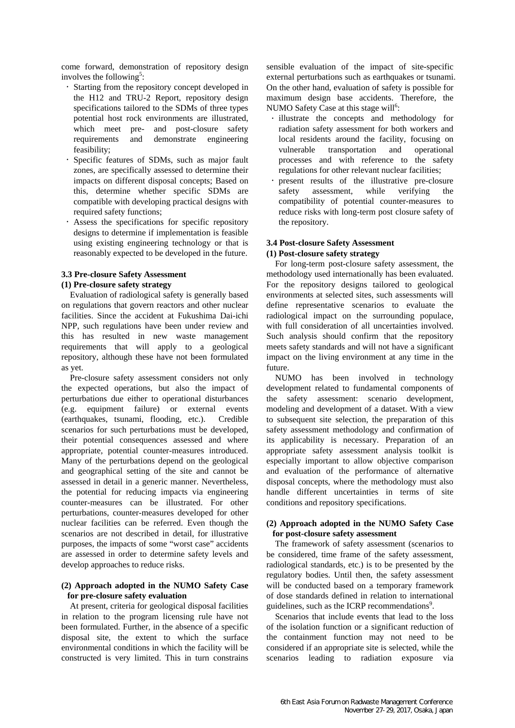come forward, demonstration of repository design involves the following<sup>5</sup>:

- Starting from the repository concept developed in the H12 and TRU-2 Report, repository design specifications tailored to the SDMs of three types potential host rock environments are illustrated, which meet pre- and post-closure safety requirements and demonstrate engineering feasibility;
- Specific features of SDMs, such as major fault zones, are specifically assessed to determine their impacts on different disposal concepts; Based on this, determine whether specific SDMs are compatible with developing practical designs with required safety functions;
- Assess the specifications for specific repository designs to determine if implementation is feasible using existing engineering technology or that is reasonably expected to be developed in the future.

# **3.3 Pre-closure Safety Assessment**

### **(1) Pre-closure safety strategy**

Evaluation of radiological safety is generally based on regulations that govern reactors and other nuclear facilities. Since the accident at Fukushima Dai-ichi NPP, such regulations have been under review and this has resulted in new waste management requirements that will apply to a geological repository, although these have not been formulated as yet.

Pre-closure safety assessment considers not only the expected operations, but also the impact of perturbations due either to operational disturbances (e.g. equipment failure) or external events (earthquakes, tsunami, flooding, etc.). Credible scenarios for such perturbations must be developed, their potential consequences assessed and where appropriate, potential counter-measures introduced. Many of the perturbations depend on the geological and geographical setting of the site and cannot be assessed in detail in a generic manner. Nevertheless, the potential for reducing impacts via engineering counter-measures can be illustrated. For other perturbations, counter-measures developed for other nuclear facilities can be referred. Even though the scenarios are not described in detail, for illustrative purposes, the impacts of some "worst case" accidents are assessed in order to determine safety levels and develop approaches to reduce risks.

### **(2) Approach adopted in the NUMO Safety Case for pre-closure safety evaluation**

At present, criteria for geological disposal facilities in relation to the program licensing rule have not been formulated. Further, in the absence of a specific disposal site, the extent to which the surface environmental conditions in which the facility will be constructed is very limited. This in turn constrains

sensible evaluation of the impact of site-specific external perturbations such as earthquakes or tsunami. On the other hand, evaluation of safety is possible for maximum design base accidents. Therefore, the NUMO Safety Case at this stage will<sup>6</sup>:

- illustrate the concepts and methodology for radiation safety assessment for both workers and local residents around the facility, focusing on vulnerable transportation and operational processes and with reference to the safety regulations for other relevant nuclear facilities;
- present results of the illustrative pre-closure safety assessment, while verifying the compatibility of potential counter-measures to reduce risks with long-term post closure safety of the repository.

### **3.4 Post-closure Safety Assessment (1) Post-closure safety strategy**

For long-term post-closure safety assessment, the methodology used internationally has been evaluated. For the repository designs tailored to geological environments at selected sites, such assessments will define representative scenarios to evaluate the radiological impact on the surrounding populace, with full consideration of all uncertainties involved. Such analysis should confirm that the repository meets safety standards and will not have a significant impact on the living environment at any time in the future.

NUMO has been involved in technology development related to fundamental components of the safety assessment: scenario development, modeling and development of a dataset. With a view to subsequent site selection, the preparation of this safety assessment methodology and confirmation of its applicability is necessary. Preparation of an appropriate safety assessment analysis toolkit is especially important to allow objective comparison and evaluation of the performance of alternative disposal concepts, where the methodology must also handle different uncertainties in terms of site conditions and repository specifications.

## **(2) Approach adopted in the NUMO Safety Case for post-closure safety assessment**

The framework of safety assessment (scenarios to be considered, time frame of the safety assessment, radiological standards, etc.) is to be presented by the regulatory bodies. Until then, the safety assessment will be conducted based on a temporary framework of dose standards defined in relation to international guidelines, such as the ICRP recommendations<sup>9</sup>.

Scenarios that include events that lead to the loss of the isolation function or a significant reduction of the containment function may not need to be considered if an appropriate site is selected, while the scenarios leading to radiation exposure via